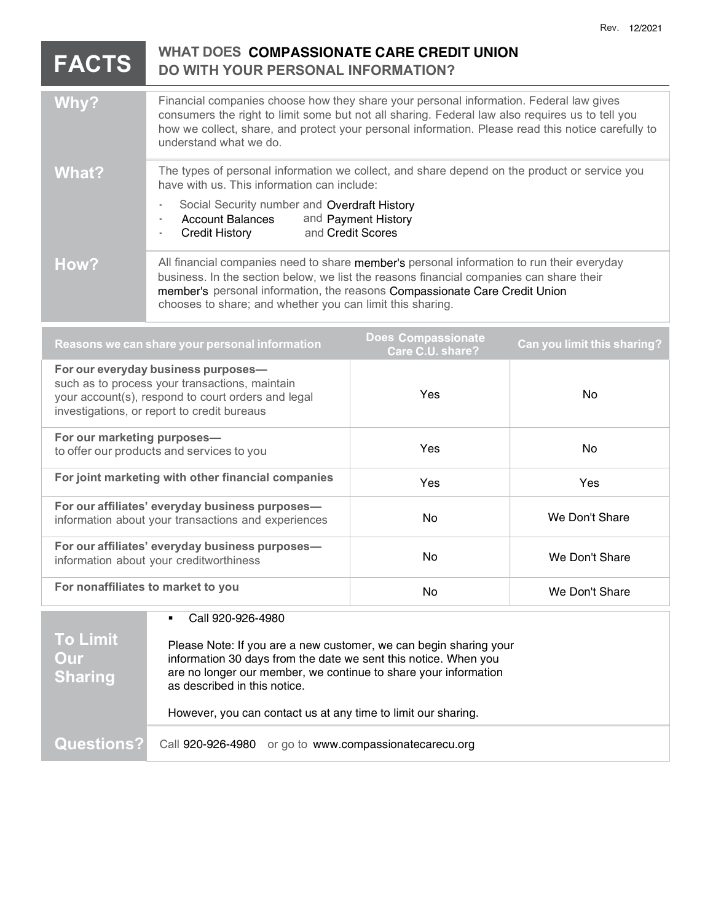## WHAT DOES COMPASSIONATE CARE CREDIT UNION DO WITH YOUR PERSONAL INFORMATION? Why? Financial companies choose how they share your personal information. Federal law gives consumers the right to limit some but not all sharing. Federal law also requires us to tell you how we collect, share, and protect your personal information. Please read this notice carefully to understand what we do. What? The types of personal information we collect, and share depend on the product or service you have with us. This information can include: Social Security number and Overdraft History Account Balances and Payment History<br>Credit History and Credit Scores How? All financial companies need to share member's personal information to run their everyday business. In the section below, we list the reasons financial companies can share their member's personal information, the reasons Compassionate Care Credit Union chooses to share; and whether you can limit this sharing. Reasons we can share your personal information **Does Compassionate**<br>Care C.U. share? Can you limit this sharing? For our everyday business purposes such as to process your transactions, maintain your account(s), respond to court orders and legal investigations, or report to credit bureaus Yes No For our marketing purposes to offer our products and services to you Yes No For joint marketing with other financial companies <br>
Yes Yes For our affiliates' everyday business purposes information about your transactions and experiences No No No We Don't Share For our affiliates' everyday business purposes information about your creditworthiness and the state of the No We Don't Share For nonaffiliates to market to you  $N_0$  No We Don't Share To Limit Our **Sharing**  Call 920-926-4980 Please Note: If you are a new customer, we can begin sharing your information 30 days from the date we sent this notice. When you are no longer our member, we continue to share your information as described in this notice. However, you can contact us at any time to limit our sharing. FACTS

Questions? Call 920-926-4980 or go to www.compassionatecarecu.org